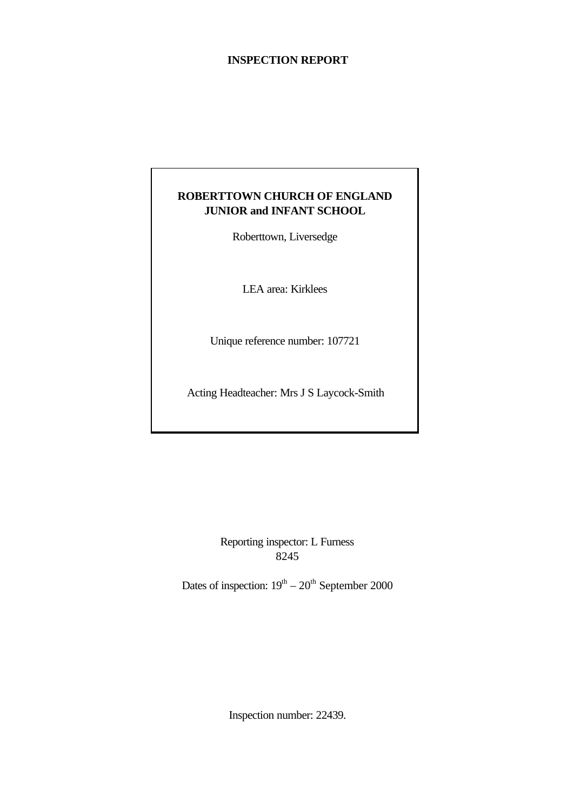# **INSPECTION REPORT**

# **ROBERTTOWN CHURCH OF ENGLAND JUNIOR and INFANT SCHOOL**

Roberttown, Liversedge

LEA area: Kirklees

Unique reference number: 107721

Acting Headteacher: Mrs J S Laycock-Smith

Reporting inspector: L Furness 8245

Dates of inspection:  $19<sup>th</sup> - 20<sup>th</sup>$  September 2000

Inspection number: 22439.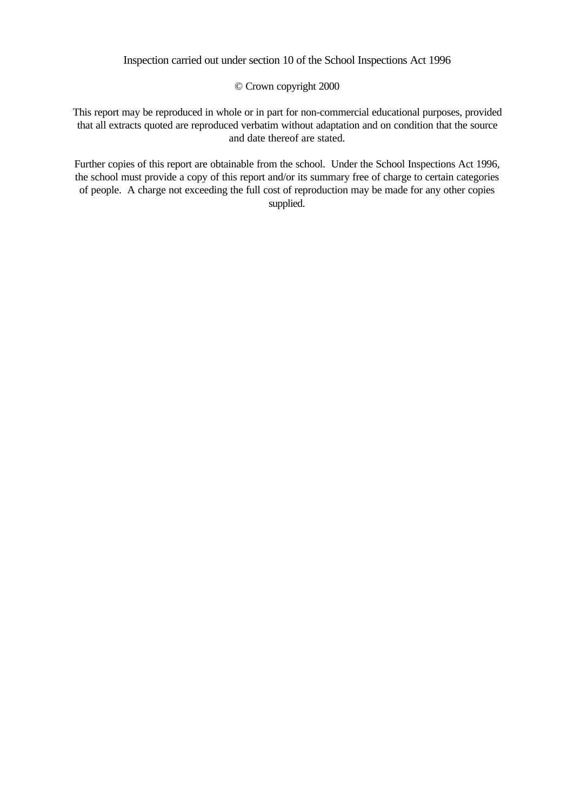# Inspection carried out under section 10 of the School Inspections Act 1996

### © Crown copyright 2000

This report may be reproduced in whole or in part for non-commercial educational purposes, provided that all extracts quoted are reproduced verbatim without adaptation and on condition that the source and date thereof are stated.

Further copies of this report are obtainable from the school. Under the School Inspections Act 1996, the school must provide a copy of this report and/or its summary free of charge to certain categories of people. A charge not exceeding the full cost of reproduction may be made for any other copies supplied.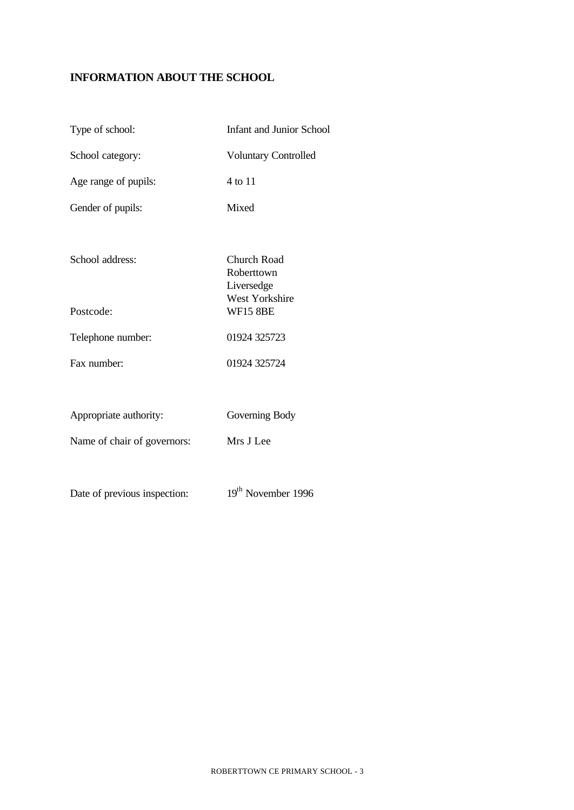# **INFORMATION ABOUT THE SCHOOL**

| Type of school:              | <b>Infant and Junior School</b>         |
|------------------------------|-----------------------------------------|
| School category:             | <b>Voluntary Controlled</b>             |
| Age range of pupils:         | 4 to 11                                 |
| Gender of pupils:            | Mixed                                   |
| School address:              | Church Road<br>Roberttown<br>Liversedge |
| Postcode:                    | West Yorkshire<br><b>WF15 8BE</b>       |
| Telephone number:            | 01924 325723                            |
| Fax number:                  | 01924 325724                            |
|                              |                                         |
| Appropriate authority:       | Governing Body                          |
| Name of chair of governors:  | Mrs J Lee                               |
|                              |                                         |
| Date of previous inspection: | 19 <sup>th</sup> November 1996          |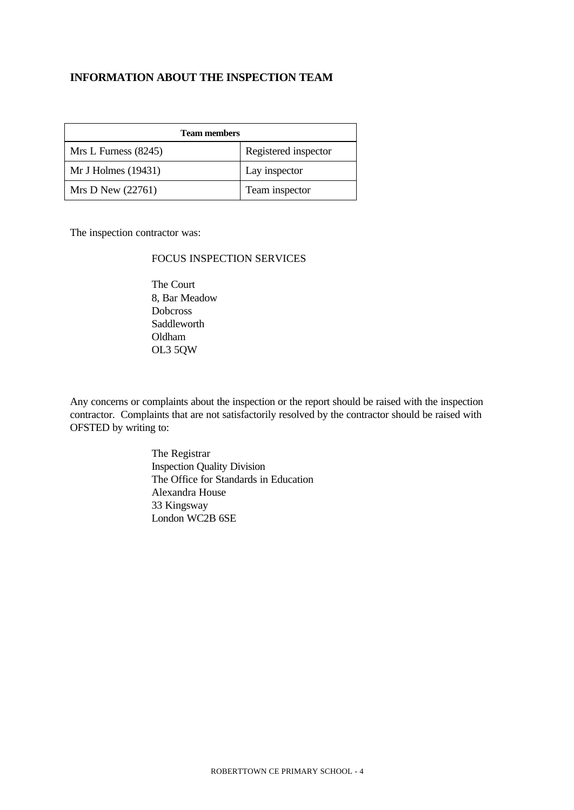## **INFORMATION ABOUT THE INSPECTION TEAM**

| <b>Team members</b>  |                      |  |  |
|----------------------|----------------------|--|--|
| Mrs L Furness (8245) | Registered inspector |  |  |
| Mr J Holmes (19431)  | Lay inspector        |  |  |
| Mrs D New $(22761)$  | Team inspector       |  |  |

The inspection contractor was:

# FOCUS INSPECTION SERVICES

The Court 8, Bar Meadow Dobcross Saddleworth Oldham OL3 5QW

Any concerns or complaints about the inspection or the report should be raised with the inspection contractor. Complaints that are not satisfactorily resolved by the contractor should be raised with OFSTED by writing to:

> The Registrar Inspection Quality Division The Office for Standards in Education Alexandra House 33 Kingsway London WC2B 6SE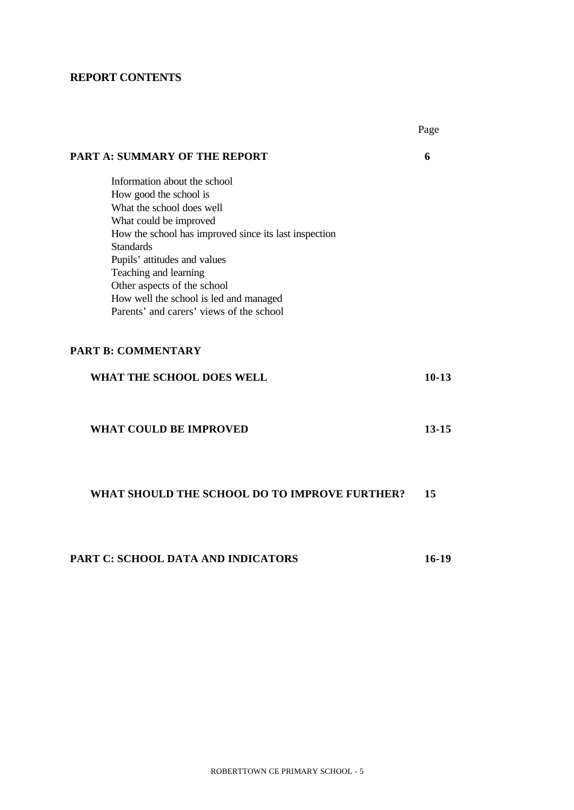# **REPORT CONTENTS**

|                                                        | Page      |
|--------------------------------------------------------|-----------|
| PART A: SUMMARY OF THE REPORT                          | 6         |
| Information about the school                           |           |
| How good the school is                                 |           |
| What the school does well                              |           |
| What could be improved                                 |           |
| How the school has improved since its last inspection  |           |
| <b>Standards</b>                                       |           |
| Pupils' attitudes and values                           |           |
| Teaching and learning                                  |           |
| Other aspects of the school                            |           |
| How well the school is led and managed                 |           |
| Parents' and carers' views of the school               |           |
| <b>PART B: COMMENTARY</b><br>WHAT THE SCHOOL DOES WELL | $10-13$   |
| <b>WHAT COULD BE IMPROVED</b>                          | $13 - 15$ |
| WHAT SHOULD THE SCHOOL DO TO IMPROVE FURTHER?          | 15        |
| PART C: SCHOOL DATA AND INDICATORS                     | $16-19$   |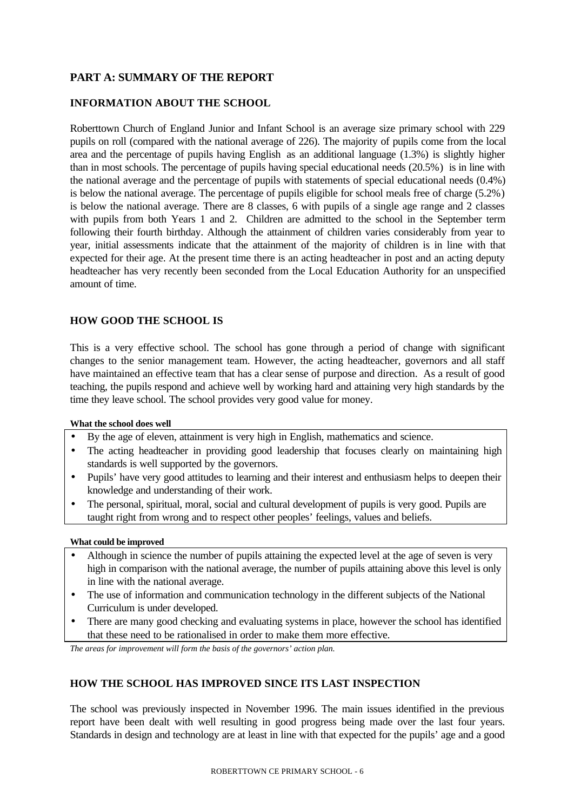# **PART A: SUMMARY OF THE REPORT**

## **INFORMATION ABOUT THE SCHOOL**

Roberttown Church of England Junior and Infant School is an average size primary school with 229 pupils on roll (compared with the national average of 226). The majority of pupils come from the local area and the percentage of pupils having English as an additional language (1.3%) is slightly higher than in most schools. The percentage of pupils having special educational needs (20.5%) is in line with the national average and the percentage of pupils with statements of special educational needs (0.4%) is below the national average. The percentage of pupils eligible for school meals free of charge (5.2%) is below the national average. There are 8 classes, 6 with pupils of a single age range and 2 classes with pupils from both Years 1 and 2. Children are admitted to the school in the September term following their fourth birthday. Although the attainment of children varies considerably from year to year, initial assessments indicate that the attainment of the majority of children is in line with that expected for their age. At the present time there is an acting headteacher in post and an acting deputy headteacher has very recently been seconded from the Local Education Authority for an unspecified amount of time.

## **HOW GOOD THE SCHOOL IS**

This is a very effective school. The school has gone through a period of change with significant changes to the senior management team. However, the acting headteacher, governors and all staff have maintained an effective team that has a clear sense of purpose and direction. As a result of good teaching, the pupils respond and achieve well by working hard and attaining very high standards by the time they leave school. The school provides very good value for money.

#### **What the school does well**

- By the age of eleven, attainment is very high in English, mathematics and science.
- The acting headteacher in providing good leadership that focuses clearly on maintaining high standards is well supported by the governors.
- Pupils' have very good attitudes to learning and their interest and enthusiasm helps to deepen their knowledge and understanding of their work.
- The personal, spiritual, moral, social and cultural development of pupils is very good. Pupils are taught right from wrong and to respect other peoples' feelings, values and beliefs.

#### **What could be improved**

- Although in science the number of pupils attaining the expected level at the age of seven is very high in comparison with the national average, the number of pupils attaining above this level is only in line with the national average.
- The use of information and communication technology in the different subjects of the National Curriculum is under developed.
- There are many good checking and evaluating systems in place, however the school has identified that these need to be rationalised in order to make them more effective.

*The areas for improvement will form the basis of the governors' action plan.*

#### **HOW THE SCHOOL HAS IMPROVED SINCE ITS LAST INSPECTION**

The school was previously inspected in November 1996. The main issues identified in the previous report have been dealt with well resulting in good progress being made over the last four years. Standards in design and technology are at least in line with that expected for the pupils' age and a good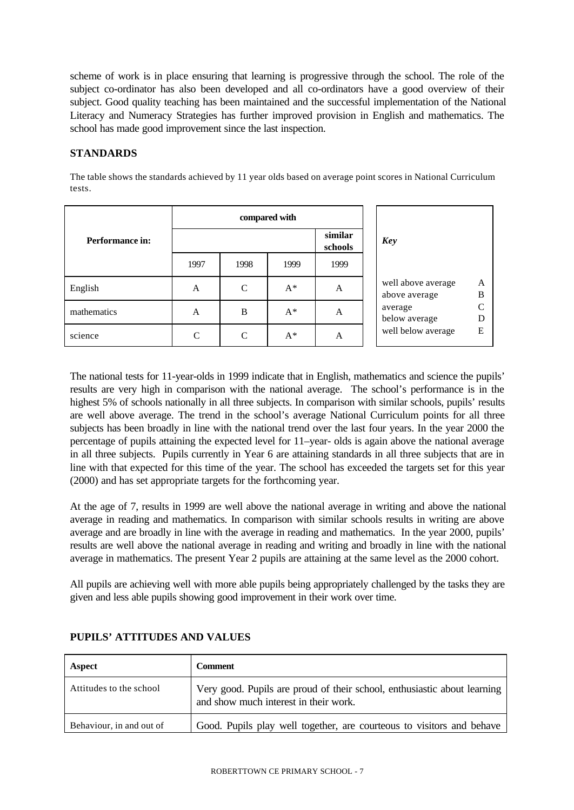scheme of work is in place ensuring that learning is progressive through the school. The role of the subject co-ordinator has also been developed and all co-ordinators have a good overview of their subject. Good quality teaching has been maintained and the successful implementation of the National Literacy and Numeracy Strategies has further improved provision in English and mathematics. The school has made good improvement since the last inspection.

## **STANDARDS**

The table shows the standards achieved by 11 year olds based on average point scores in National Curriculum tests.

|                 | compared with      |               |       |      |                                     |        |
|-----------------|--------------------|---------------|-------|------|-------------------------------------|--------|
| Performance in: | similar<br>schools |               |       | Key  |                                     |        |
|                 | 1997               | 1998          | 1999  | 1999 |                                     |        |
| English         | A                  | $\mathcal{C}$ | $A^*$ | A    | well above average<br>above average | A<br>B |
| mathematics     | A                  | B             | $A^*$ | A    | average<br>below average            | D      |
| science         | C                  | C             | $A^*$ | A    | well below average                  | E      |

The national tests for 11-year-olds in 1999 indicate that in English, mathematics and science the pupils' results are very high in comparison with the national average. The school's performance is in the highest 5% of schools nationally in all three subjects. In comparison with similar schools, pupils' results are well above average. The trend in the school's average National Curriculum points for all three subjects has been broadly in line with the national trend over the last four years. In the year 2000 the percentage of pupils attaining the expected level for 11–year- olds is again above the national average in all three subjects. Pupils currently in Year 6 are attaining standards in all three subjects that are in line with that expected for this time of the year. The school has exceeded the targets set for this year (2000) and has set appropriate targets for the forthcoming year.

At the age of 7, results in 1999 are well above the national average in writing and above the national average in reading and mathematics. In comparison with similar schools results in writing are above average and are broadly in line with the average in reading and mathematics. In the year 2000, pupils' results are well above the national average in reading and writing and broadly in line with the national average in mathematics. The present Year 2 pupils are attaining at the same level as the 2000 cohort.

All pupils are achieving well with more able pupils being appropriately challenged by the tasks they are given and less able pupils showing good improvement in their work over time.

| Aspect                   | <b>Comment</b>                                                                                                    |
|--------------------------|-------------------------------------------------------------------------------------------------------------------|
| Attitudes to the school  | Very good. Pupils are proud of their school, enthusiastic about learning<br>and show much interest in their work. |
| Behaviour, in and out of | Good. Pupils play well together, are courteous to visitors and behave                                             |

# **PUPILS' ATTITUDES AND VALUES**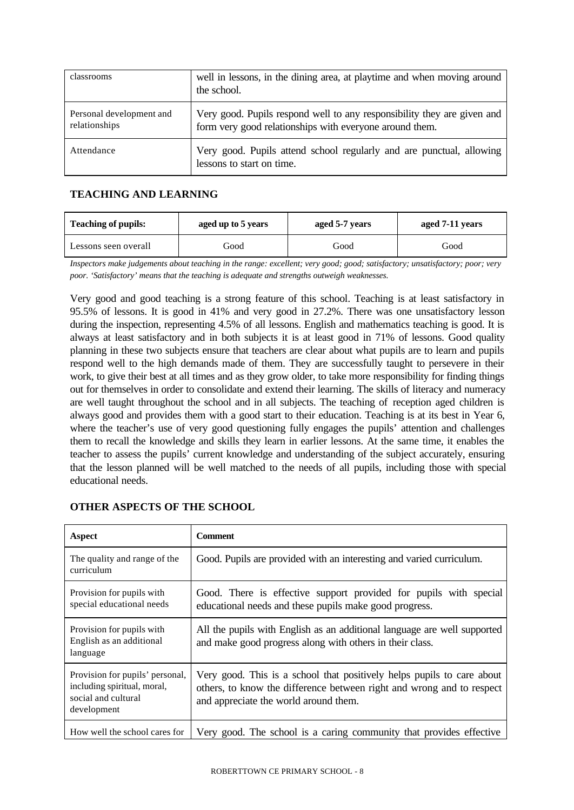| classrooms                                | well in lessons, in the dining area, at playtime and when moving around<br>the school.                                             |
|-------------------------------------------|------------------------------------------------------------------------------------------------------------------------------------|
| Personal development and<br>relationships | Very good. Pupils respond well to any responsibility they are given and<br>form very good relationships with everyone around them. |
| Attendance                                | Very good. Pupils attend school regularly and are punctual, allowing<br>lessons to start on time.                                  |

# **TEACHING AND LEARNING**

| <b>Teaching of pupils:</b> | aged up to 5 years | aged 5-7 years | aged 7-11 years |  |
|----------------------------|--------------------|----------------|-----------------|--|
| Lessons seen overall       | Good               | Good           | Good            |  |

*Inspectors make judgements about teaching in the range: excellent; very good; good; satisfactory; unsatisfactory; poor; very poor. 'Satisfactory' means that the teaching is adequate and strengths outweigh weaknesses.*

Very good and good teaching is a strong feature of this school. Teaching is at least satisfactory in 95.5% of lessons. It is good in 41% and very good in 27.2%. There was one unsatisfactory lesson during the inspection, representing 4.5% of all lessons. English and mathematics teaching is good. It is always at least satisfactory and in both subjects it is at least good in 71% of lessons. Good quality planning in these two subjects ensure that teachers are clear about what pupils are to learn and pupils respond well to the high demands made of them. They are successfully taught to persevere in their work, to give their best at all times and as they grow older, to take more responsibility for finding things out for themselves in order to consolidate and extend their learning. The skills of literacy and numeracy are well taught throughout the school and in all subjects. The teaching of reception aged children is always good and provides them with a good start to their education. Teaching is at its best in Year 6, where the teacher's use of very good questioning fully engages the pupils' attention and challenges them to recall the knowledge and skills they learn in earlier lessons. At the same time, it enables the teacher to assess the pupils' current knowledge and understanding of the subject accurately, ensuring that the lesson planned will be well matched to the needs of all pupils, including those with special educational needs.

| Aspect                                                                                               | <b>Comment</b>                                                                                                                                                                           |
|------------------------------------------------------------------------------------------------------|------------------------------------------------------------------------------------------------------------------------------------------------------------------------------------------|
| The quality and range of the<br>curriculum                                                           | Good. Pupils are provided with an interesting and varied curriculum.                                                                                                                     |
| Provision for pupils with<br>special educational needs                                               | Good. There is effective support provided for pupils with special<br>educational needs and these pupils make good progress.                                                              |
| Provision for pupils with<br>English as an additional<br>language                                    | All the pupils with English as an additional language are well supported<br>and make good progress along with others in their class.                                                     |
| Provision for pupils' personal,<br>including spiritual, moral,<br>social and cultural<br>development | Very good. This is a school that positively helps pupils to care about<br>others, to know the difference between right and wrong and to respect<br>and appreciate the world around them. |
| How well the school cares for                                                                        | Very good. The school is a caring community that provides effective                                                                                                                      |

# **OTHER ASPECTS OF THE SCHOOL**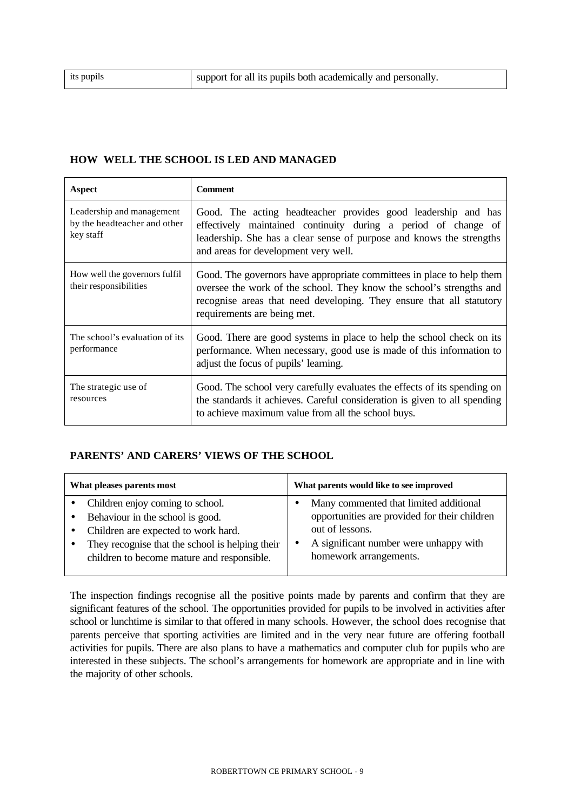#### **HOW WELL THE SCHOOL IS LED AND MANAGED**

| Aspect                                                                 | <b>Comment</b>                                                                                                                                                                                                                                       |
|------------------------------------------------------------------------|------------------------------------------------------------------------------------------------------------------------------------------------------------------------------------------------------------------------------------------------------|
| Leadership and management<br>by the headteacher and other<br>key staff | Good. The acting headteacher provides good leadership and has<br>effectively maintained continuity during a period of change of<br>leadership. She has a clear sense of purpose and knows the strengths<br>and areas for development very well.      |
| How well the governors fulfil<br>their responsibilities                | Good. The governors have appropriate committees in place to help them<br>oversee the work of the school. They know the school's strengths and<br>recognise areas that need developing. They ensure that all statutory<br>requirements are being met. |
| The school's evaluation of its<br>performance                          | Good. There are good systems in place to help the school check on its<br>performance. When necessary, good use is made of this information to<br>adjust the focus of pupils' learning.                                                               |
| The strategic use of<br>resources                                      | Good. The school very carefully evaluates the effects of its spending on<br>the standards it achieves. Careful consideration is given to all spending<br>to achieve maximum value from all the school buys.                                          |

#### **PARENTS' AND CARERS' VIEWS OF THE SCHOOL**

| What pleases parents most                                                                                                                                                                                                 | What parents would like to see improved                                                                                                                                        |
|---------------------------------------------------------------------------------------------------------------------------------------------------------------------------------------------------------------------------|--------------------------------------------------------------------------------------------------------------------------------------------------------------------------------|
| Children enjoy coming to school.<br>Behaviour in the school is good.<br>$\bullet$<br>Children are expected to work hard.<br>They recognise that the school is helping their<br>children to become mature and responsible. | Many commented that limited additional<br>opportunities are provided for their children<br>out of lessons.<br>A significant number were unhappy with<br>homework arrangements. |

The inspection findings recognise all the positive points made by parents and confirm that they are significant features of the school. The opportunities provided for pupils to be involved in activities after school or lunchtime is similar to that offered in many schools. However, the school does recognise that parents perceive that sporting activities are limited and in the very near future are offering football activities for pupils. There are also plans to have a mathematics and computer club for pupils who are interested in these subjects. The school's arrangements for homework are appropriate and in line with the majority of other schools.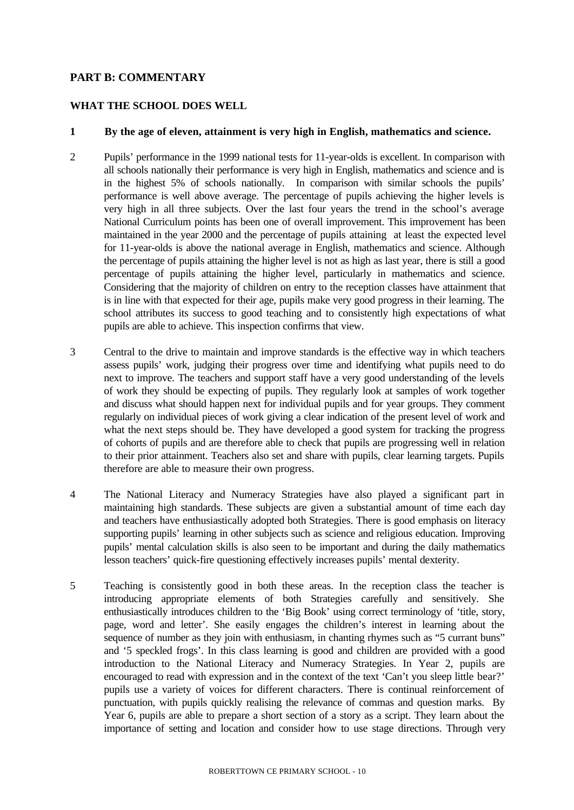## **PART B: COMMENTARY**

#### **WHAT THE SCHOOL DOES WELL**

### **1 By the age of eleven, attainment is very high in English, mathematics and science.**

- 2 Pupils' performance in the 1999 national tests for 11-year-olds is excellent. In comparison with all schools nationally their performance is very high in English, mathematics and science and is in the highest 5% of schools nationally. In comparison with similar schools the pupils' performance is well above average. The percentage of pupils achieving the higher levels is very high in all three subjects. Over the last four years the trend in the school's average National Curriculum points has been one of overall improvement. This improvement has been maintained in the year 2000 and the percentage of pupils attaining at least the expected level for 11-year-olds is above the national average in English, mathematics and science. Although the percentage of pupils attaining the higher level is not as high as last year, there is still a good percentage of pupils attaining the higher level, particularly in mathematics and science. Considering that the majority of children on entry to the reception classes have attainment that is in line with that expected for their age, pupils make very good progress in their learning. The school attributes its success to good teaching and to consistently high expectations of what pupils are able to achieve. This inspection confirms that view.
- 3 Central to the drive to maintain and improve standards is the effective way in which teachers assess pupils' work, judging their progress over time and identifying what pupils need to do next to improve. The teachers and support staff have a very good understanding of the levels of work they should be expecting of pupils. They regularly look at samples of work together and discuss what should happen next for individual pupils and for year groups. They comment regularly on individual pieces of work giving a clear indication of the present level of work and what the next steps should be. They have developed a good system for tracking the progress of cohorts of pupils and are therefore able to check that pupils are progressing well in relation to their prior attainment. Teachers also set and share with pupils, clear learning targets. Pupils therefore are able to measure their own progress.
- 4 The National Literacy and Numeracy Strategies have also played a significant part in maintaining high standards. These subjects are given a substantial amount of time each day and teachers have enthusiastically adopted both Strategies. There is good emphasis on literacy supporting pupils' learning in other subjects such as science and religious education. Improving pupils' mental calculation skills is also seen to be important and during the daily mathematics lesson teachers' quick-fire questioning effectively increases pupils' mental dexterity.
- 5 Teaching is consistently good in both these areas. In the reception class the teacher is introducing appropriate elements of both Strategies carefully and sensitively. She enthusiastically introduces children to the 'Big Book' using correct terminology of 'title, story, page, word and letter'. She easily engages the children's interest in learning about the sequence of number as they join with enthusiasm, in chanting rhymes such as "5 currant buns" and '5 speckled frogs'. In this class learning is good and children are provided with a good introduction to the National Literacy and Numeracy Strategies. In Year 2, pupils are encouraged to read with expression and in the context of the text 'Can't you sleep little bear?' pupils use a variety of voices for different characters. There is continual reinforcement of punctuation, with pupils quickly realising the relevance of commas and question marks. By Year 6, pupils are able to prepare a short section of a story as a script. They learn about the importance of setting and location and consider how to use stage directions. Through very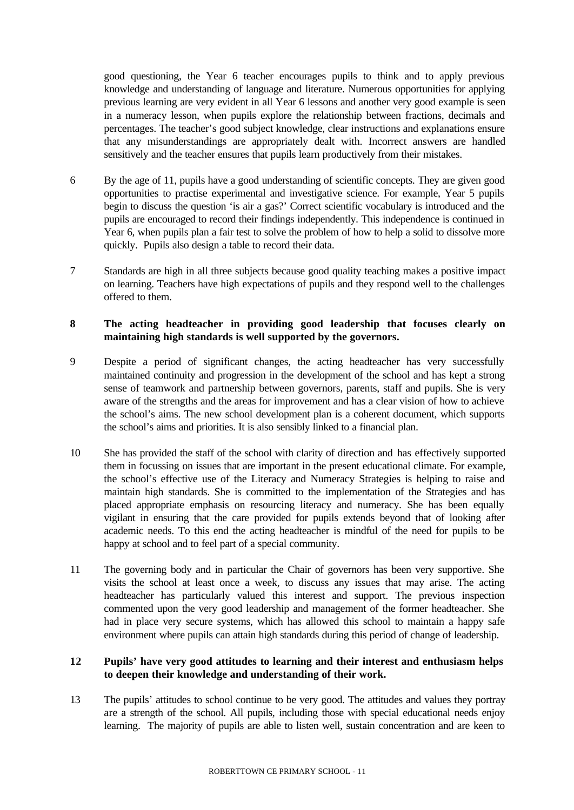good questioning, the Year 6 teacher encourages pupils to think and to apply previous knowledge and understanding of language and literature. Numerous opportunities for applying previous learning are very evident in all Year 6 lessons and another very good example is seen in a numeracy lesson, when pupils explore the relationship between fractions, decimals and percentages. The teacher's good subject knowledge, clear instructions and explanations ensure that any misunderstandings are appropriately dealt with. Incorrect answers are handled sensitively and the teacher ensures that pupils learn productively from their mistakes.

- 6 By the age of 11, pupils have a good understanding of scientific concepts. They are given good opportunities to practise experimental and investigative science. For example, Year 5 pupils begin to discuss the question 'is air a gas?' Correct scientific vocabulary is introduced and the pupils are encouraged to record their findings independently. This independence is continued in Year 6, when pupils plan a fair test to solve the problem of how to help a solid to dissolve more quickly. Pupils also design a table to record their data.
- 7 Standards are high in all three subjects because good quality teaching makes a positive impact on learning. Teachers have high expectations of pupils and they respond well to the challenges offered to them.

# **8 The acting headteacher in providing good leadership that focuses clearly on maintaining high standards is well supported by the governors.**

- 9 Despite a period of significant changes, the acting headteacher has very successfully maintained continuity and progression in the development of the school and has kept a strong sense of teamwork and partnership between governors, parents, staff and pupils. She is very aware of the strengths and the areas for improvement and has a clear vision of how to achieve the school's aims. The new school development plan is a coherent document, which supports the school's aims and priorities. It is also sensibly linked to a financial plan.
- 10 She has provided the staff of the school with clarity of direction and has effectively supported them in focussing on issues that are important in the present educational climate. For example, the school's effective use of the Literacy and Numeracy Strategies is helping to raise and maintain high standards. She is committed to the implementation of the Strategies and has placed appropriate emphasis on resourcing literacy and numeracy. She has been equally vigilant in ensuring that the care provided for pupils extends beyond that of looking after academic needs. To this end the acting headteacher is mindful of the need for pupils to be happy at school and to feel part of a special community.
- 11 The governing body and in particular the Chair of governors has been very supportive. She visits the school at least once a week, to discuss any issues that may arise. The acting headteacher has particularly valued this interest and support. The previous inspection commented upon the very good leadership and management of the former headteacher. She had in place very secure systems, which has allowed this school to maintain a happy safe environment where pupils can attain high standards during this period of change of leadership.

# **12 Pupils' have very good attitudes to learning and their interest and enthusiasm helps to deepen their knowledge and understanding of their work.**

13 The pupils' attitudes to school continue to be very good. The attitudes and values they portray are a strength of the school. All pupils, including those with special educational needs enjoy learning. The majority of pupils are able to listen well, sustain concentration and are keen to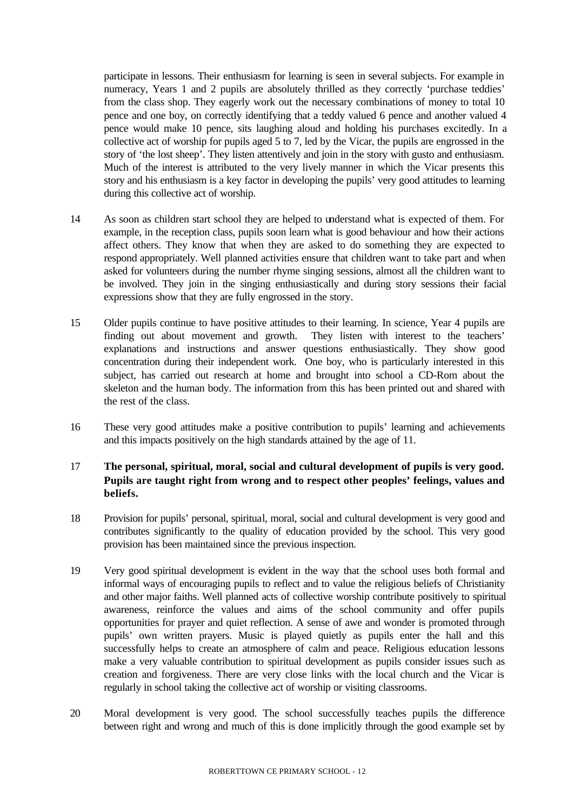participate in lessons. Their enthusiasm for learning is seen in several subjects. For example in numeracy, Years 1 and 2 pupils are absolutely thrilled as they correctly 'purchase teddies' from the class shop. They eagerly work out the necessary combinations of money to total 10 pence and one boy, on correctly identifying that a teddy valued 6 pence and another valued 4 pence would make 10 pence, sits laughing aloud and holding his purchases excitedly. In a collective act of worship for pupils aged 5 to 7, led by the Vicar, the pupils are engrossed in the story of 'the lost sheep'. They listen attentively and join in the story with gusto and enthusiasm. Much of the interest is attributed to the very lively manner in which the Vicar presents this story and his enthusiasm is a key factor in developing the pupils' very good attitudes to learning during this collective act of worship.

- 14 As soon as children start school they are helped to understand what is expected of them. For example, in the reception class, pupils soon learn what is good behaviour and how their actions affect others. They know that when they are asked to do something they are expected to respond appropriately. Well planned activities ensure that children want to take part and when asked for volunteers during the number rhyme singing sessions, almost all the children want to be involved. They join in the singing enthusiastically and during story sessions their facial expressions show that they are fully engrossed in the story.
- 15 Older pupils continue to have positive attitudes to their learning. In science, Year 4 pupils are finding out about movement and growth. They listen with interest to the teachers' explanations and instructions and answer questions enthusiastically. They show good concentration during their independent work. One boy, who is particularly interested in this subject, has carried out research at home and brought into school a CD-Rom about the skeleton and the human body. The information from this has been printed out and shared with the rest of the class.
- 16 These very good attitudes make a positive contribution to pupils' learning and achievements and this impacts positively on the high standards attained by the age of 11.

# 17 **The personal, spiritual, moral, social and cultural development of pupils is very good. Pupils are taught right from wrong and to respect other peoples' feelings, values and beliefs.**

- 18 Provision for pupils' personal, spiritual, moral, social and cultural development is very good and contributes significantly to the quality of education provided by the school. This very good provision has been maintained since the previous inspection.
- 19 Very good spiritual development is evident in the way that the school uses both formal and informal ways of encouraging pupils to reflect and to value the religious beliefs of Christianity and other major faiths. Well planned acts of collective worship contribute positively to spiritual awareness, reinforce the values and aims of the school community and offer pupils opportunities for prayer and quiet reflection. A sense of awe and wonder is promoted through pupils' own written prayers. Music is played quietly as pupils enter the hall and this successfully helps to create an atmosphere of calm and peace. Religious education lessons make a very valuable contribution to spiritual development as pupils consider issues such as creation and forgiveness. There are very close links with the local church and the Vicar is regularly in school taking the collective act of worship or visiting classrooms.
- 20 Moral development is very good. The school successfully teaches pupils the difference between right and wrong and much of this is done implicitly through the good example set by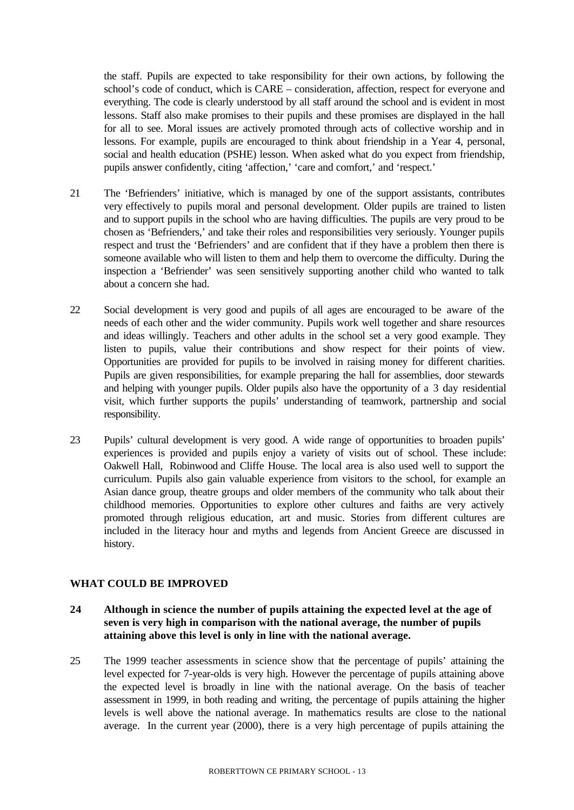the staff. Pupils are expected to take responsibility for their own actions, by following the school's code of conduct, which is CARE – consideration, affection, respect for everyone and everything. The code is clearly understood by all staff around the school and is evident in most lessons. Staff also make promises to their pupils and these promises are displayed in the hall for all to see. Moral issues are actively promoted through acts of collective worship and in lessons. For example, pupils are encouraged to think about friendship in a Year 4, personal, social and health education (PSHE) lesson. When asked what do you expect from friendship, pupils answer confidently, citing 'affection,' 'care and comfort,' and 'respect.'

- 21 The 'Befrienders' initiative, which is managed by one of the support assistants, contributes very effectively to pupils moral and personal development. Older pupils are trained to listen and to support pupils in the school who are having difficulties. The pupils are very proud to be chosen as 'Befrienders,' and take their roles and responsibilities very seriously. Younger pupils respect and trust the 'Befrienders' and are confident that if they have a problem then there is someone available who will listen to them and help them to overcome the difficulty. During the inspection a 'Befriender' was seen sensitively supporting another child who wanted to talk about a concern she had.
- 22 Social development is very good and pupils of all ages are encouraged to be aware of the needs of each other and the wider community. Pupils work well together and share resources and ideas willingly. Teachers and other adults in the school set a very good example. They listen to pupils, value their contributions and show respect for their points of view. Opportunities are provided for pupils to be involved in raising money for different charities. Pupils are given responsibilities, for example preparing the hall for assemblies, door stewards and helping with younger pupils. Older pupils also have the opportunity of a 3 day residential visit, which further supports the pupils' understanding of teamwork, partnership and social responsibility.
- 23 Pupils' cultural development is very good. A wide range of opportunities to broaden pupils' experiences is provided and pupils enjoy a variety of visits out of school. These include: Oakwell Hall, Robinwood and Cliffe House. The local area is also used well to support the curriculum. Pupils also gain valuable experience from visitors to the school, for example an Asian dance group, theatre groups and older members of the community who talk about their childhood memories. Opportunities to explore other cultures and faiths are very actively promoted through religious education, art and music. Stories from different cultures are included in the literacy hour and myths and legends from Ancient Greece are discussed in history.

#### **WHAT COULD BE IMPROVED**

# **24 Although in science the number of pupils attaining the expected level at the age of seven is very high in comparison with the national average, the number of pupils attaining above this level is only in line with the national average.**

25 The 1999 teacher assessments in science show that the percentage of pupils' attaining the level expected for 7-year-olds is very high. However the percentage of pupils attaining above the expected level is broadly in line with the national average. On the basis of teacher assessment in 1999, in both reading and writing, the percentage of pupils attaining the higher levels is well above the national average. In mathematics results are close to the national average. In the current year (2000), there is a very high percentage of pupils attaining the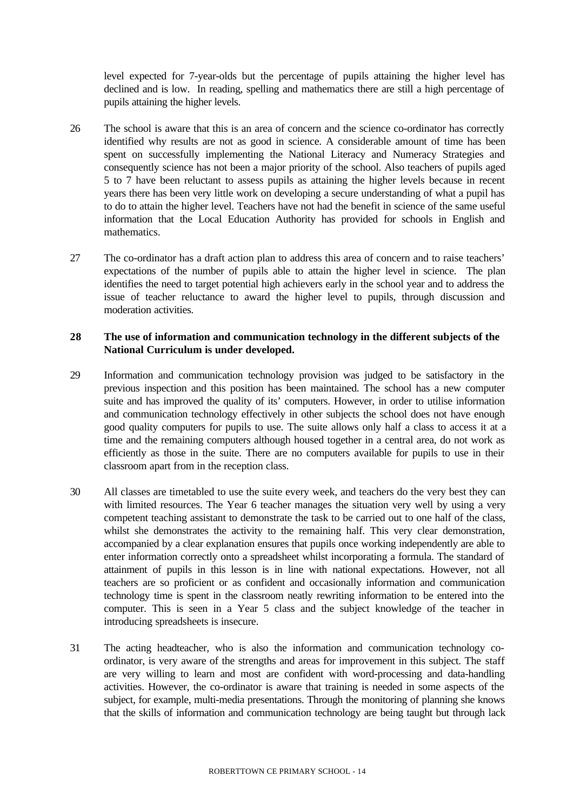level expected for 7-year-olds but the percentage of pupils attaining the higher level has declined and is low. In reading, spelling and mathematics there are still a high percentage of pupils attaining the higher levels.

- 26 The school is aware that this is an area of concern and the science co-ordinator has correctly identified why results are not as good in science. A considerable amount of time has been spent on successfully implementing the National Literacy and Numeracy Strategies and consequently science has not been a major priority of the school. Also teachers of pupils aged 5 to 7 have been reluctant to assess pupils as attaining the higher levels because in recent years there has been very little work on developing a secure understanding of what a pupil has to do to attain the higher level. Teachers have not had the benefit in science of the same useful information that the Local Education Authority has provided for schools in English and mathematics.
- 27 The co-ordinator has a draft action plan to address this area of concern and to raise teachers' expectations of the number of pupils able to attain the higher level in science. The plan identifies the need to target potential high achievers early in the school year and to address the issue of teacher reluctance to award the higher level to pupils, through discussion and moderation activities.

## **28 The use of information and communication technology in the different subjects of the National Curriculum is under developed.**

- 29 Information and communication technology provision was judged to be satisfactory in the previous inspection and this position has been maintained. The school has a new computer suite and has improved the quality of its' computers. However, in order to utilise information and communication technology effectively in other subjects the school does not have enough good quality computers for pupils to use. The suite allows only half a class to access it at a time and the remaining computers although housed together in a central area, do not work as efficiently as those in the suite. There are no computers available for pupils to use in their classroom apart from in the reception class.
- 30 All classes are timetabled to use the suite every week, and teachers do the very best they can with limited resources. The Year 6 teacher manages the situation very well by using a very competent teaching assistant to demonstrate the task to be carried out to one half of the class, whilst she demonstrates the activity to the remaining half. This very clear demonstration, accompanied by a clear explanation ensures that pupils once working independently are able to enter information correctly onto a spreadsheet whilst incorporating a formula. The standard of attainment of pupils in this lesson is in line with national expectations. However, not all teachers are so proficient or as confident and occasionally information and communication technology time is spent in the classroom neatly rewriting information to be entered into the computer. This is seen in a Year 5 class and the subject knowledge of the teacher in introducing spreadsheets is insecure.
- 31 The acting headteacher, who is also the information and communication technology coordinator, is very aware of the strengths and areas for improvement in this subject. The staff are very willing to learn and most are confident with word-processing and data-handling activities. However, the co-ordinator is aware that training is needed in some aspects of the subject, for example, multi-media presentations. Through the monitoring of planning she knows that the skills of information and communication technology are being taught but through lack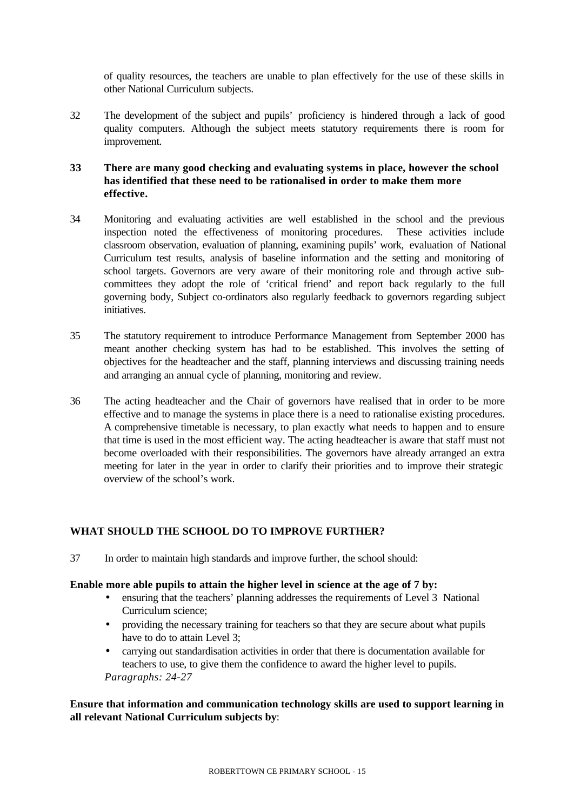of quality resources, the teachers are unable to plan effectively for the use of these skills in other National Curriculum subjects.

32 The development of the subject and pupils' proficiency is hindered through a lack of good quality computers. Although the subject meets statutory requirements there is room for improvement.

# **33 There are many good checking and evaluating systems in place, however the school has identified that these need to be rationalised in order to make them more effective.**

- 34 Monitoring and evaluating activities are well established in the school and the previous inspection noted the effectiveness of monitoring procedures. These activities include classroom observation, evaluation of planning, examining pupils' work, evaluation of National Curriculum test results, analysis of baseline information and the setting and monitoring of school targets. Governors are very aware of their monitoring role and through active subcommittees they adopt the role of 'critical friend' and report back regularly to the full governing body, Subject co-ordinators also regularly feedback to governors regarding subject initiatives.
- 35 The statutory requirement to introduce Performance Management from September 2000 has meant another checking system has had to be established. This involves the setting of objectives for the headteacher and the staff, planning interviews and discussing training needs and arranging an annual cycle of planning, monitoring and review.
- 36 The acting headteacher and the Chair of governors have realised that in order to be more effective and to manage the systems in place there is a need to rationalise existing procedures. A comprehensive timetable is necessary, to plan exactly what needs to happen and to ensure that time is used in the most efficient way. The acting headteacher is aware that staff must not become overloaded with their responsibilities. The governors have already arranged an extra meeting for later in the year in order to clarify their priorities and to improve their strategic overview of the school's work.

# **WHAT SHOULD THE SCHOOL DO TO IMPROVE FURTHER?**

37 In order to maintain high standards and improve further, the school should:

#### **Enable more able pupils to attain the higher level in science at the age of 7 by:**

- ensuring that the teachers' planning addresses the requirements of Level 3 National Curriculum science;
- providing the necessary training for teachers so that they are secure about what pupils have to do to attain Level 3;
- carrying out standardisation activities in order that there is documentation available for teachers to use, to give them the confidence to award the higher level to pupils. *Paragraphs: 24-27*

## **Ensure that information and communication technology skills are used to support learning in all relevant National Curriculum subjects by**: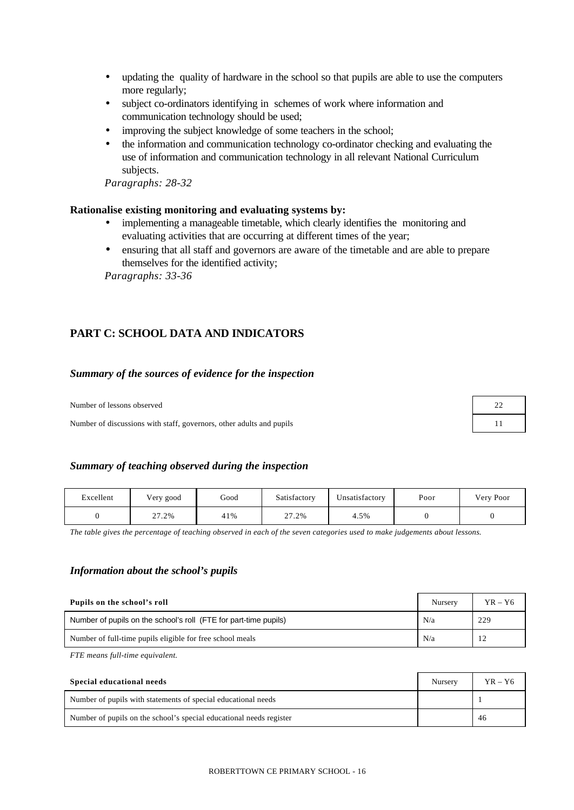- updating the quality of hardware in the school so that pupils are able to use the computers more regularly;
- subject co-ordinators identifying in schemes of work where information and communication technology should be used;
- improving the subject knowledge of some teachers in the school;
- the information and communication technology co-ordinator checking and evaluating the use of information and communication technology in all relevant National Curriculum subjects.

*Paragraphs: 28-32*

#### **Rationalise existing monitoring and evaluating systems by:**

- implementing a manageable timetable, which clearly identifies the monitoring and evaluating activities that are occurring at different times of the year;
- ensuring that all staff and governors are aware of the timetable and are able to prepare themselves for the identified activity;

*Paragraphs: 33-36*

# **PART C: SCHOOL DATA AND INDICATORS**

#### *Summary of the sources of evidence for the inspection*

Number of lessons observed

Number of discussions with staff, governors, other adults and pupils

| 22 |
|----|
| 11 |

#### *Summary of teaching observed during the inspection*

| Excellent | Very good | Good | Satisfactorv | Unsatisfactory | Poor | Very Poor |
|-----------|-----------|------|--------------|----------------|------|-----------|
|           | 27.2%     | 41%  | 27.2%        | 4.5%           |      |           |

*The table gives the percentage of teaching observed in each of the seven categories used to make judgements about lessons.*

#### *Information about the school's pupils*

| Pupils on the school's roll                                      | Nursery | $YR - Y6$ |
|------------------------------------------------------------------|---------|-----------|
| Number of pupils on the school's roll (FTE for part-time pupils) | N/a     | 229       |
| Number of full-time pupils eligible for free school meals        | N/a     |           |

*FTE means full-time equivalent.*

| Special educational needs                                           | Nursery | $YR - Y6$ |
|---------------------------------------------------------------------|---------|-----------|
| Number of pupils with statements of special educational needs       |         |           |
| Number of pupils on the school's special educational needs register |         | 46        |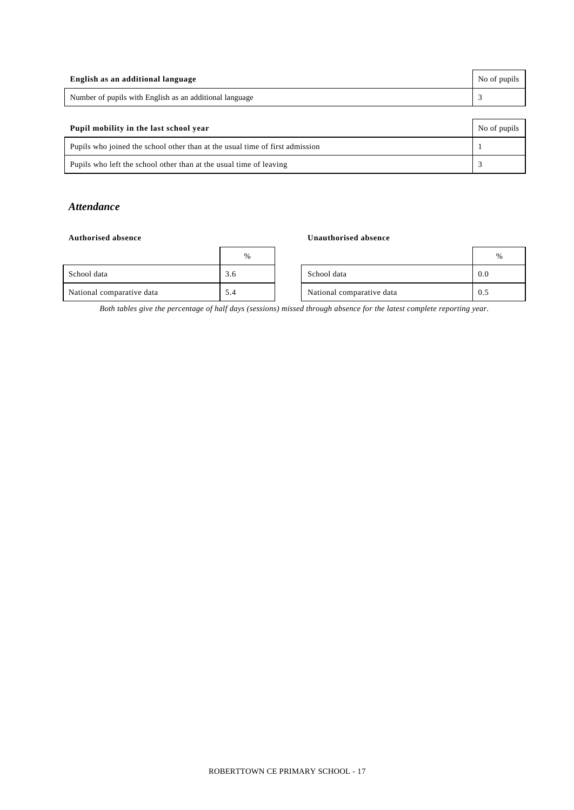| English as an additional language                                            | No of pupils |
|------------------------------------------------------------------------------|--------------|
| Number of pupils with English as an additional language                      |              |
|                                                                              |              |
| Pupil mobility in the last school year                                       | No of pupils |
| Pupils who joined the school other than at the usual time of first admission |              |

Pupils who left the school other than at the usual time of leaving 3

## *Attendance*

#### **Authorised absence Unauthorised absence**

|                           | $\%$ |                           |     |
|---------------------------|------|---------------------------|-----|
| School data               | 3.6  | School data               | 0.0 |
| National comparative data | 5.4  | National comparative data | 0.5 |

| % |                           | $\frac{0}{0}$ |
|---|---------------------------|---------------|
|   | School data               |               |
|   | National comparative data |               |

*Both tables give the percentage of half days (sessions) missed through absence for the latest complete reporting year.*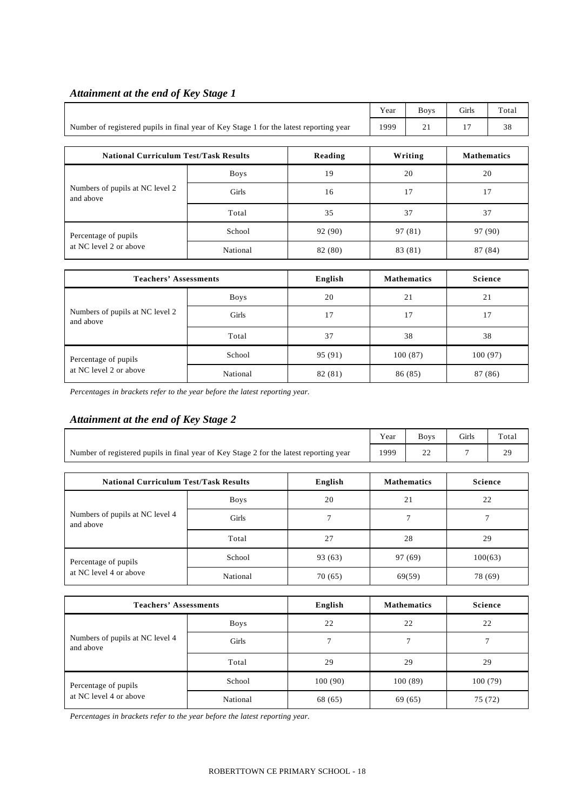|                                                                                        | Year        | <b>Boys</b> | Girls   | Total    |                    |  |
|----------------------------------------------------------------------------------------|-------------|-------------|---------|----------|--------------------|--|
| Number of registered pupils in final year of Key Stage 1 for the latest reporting year | 1999        | 21          | 17      | 38       |                    |  |
|                                                                                        |             |             |         |          |                    |  |
| <b>National Curriculum Test/Task Results</b><br>Reading                                |             |             |         | Writing  | <b>Mathematics</b> |  |
|                                                                                        | <b>Boys</b> | 19          | 20      |          | 20                 |  |
| Numbers of pupils at NC level 2<br>and above                                           | Girls       | 16          | 17      |          | 17                 |  |
|                                                                                        | Total       | 35          |         | 37<br>37 |                    |  |
| Percentage of pupils                                                                   | School      | 92 (90)     | 97 (81) |          | 97 (90)            |  |
| at NC level 2 or above                                                                 | National    | 82 (80)     |         | 83 (81)  | 87 (84)            |  |

# *Attainment at the end of Key Stage 1*

 $\Gamma$ 

| <b>Teachers' Assessments</b>                 | English     | <b>Mathematics</b> | <b>Science</b> |         |
|----------------------------------------------|-------------|--------------------|----------------|---------|
|                                              | <b>Boys</b> | 20                 | 21             | 21      |
| Numbers of pupils at NC level 2<br>and above | Girls       | 17                 | 17             | 17      |
|                                              | Total       | 37                 | 38             | 38      |
| Percentage of pupils                         | School      | 95 (91)            | 100(87)        | 100(97) |
| at NC level 2 or above                       | National    | 82 (81)            | 86 (85)        | 87 (86) |

*Percentages in brackets refer to the year before the latest reporting year.*

# *Attainment at the end of Key Stage 2*

|                                                                                        |             |         | Year               | <b>Boys</b>        | Girls          | Total          |  |
|----------------------------------------------------------------------------------------|-------------|---------|--------------------|--------------------|----------------|----------------|--|
| Number of registered pupils in final year of Key Stage 2 for the latest reporting year |             |         | 1999               | 22                 | 7              | 29             |  |
| <b>National Curriculum Test/Task Results</b><br>English                                |             |         | <b>Mathematics</b> |                    | <b>Science</b> |                |  |
|                                                                                        | <b>Boys</b> | 20      |                    | 21                 |                | 22             |  |
| Numbers of pupils at NC level 4<br>and above                                           | Girls       | 7       |                    | $\overline{7}$     |                | 7              |  |
|                                                                                        | Total       | 27      | 28                 |                    | 29             |                |  |
| Percentage of pupils                                                                   | School      | 93 (63) | 97 (69)            |                    | 100(63)        |                |  |
| at NC level 4 or above                                                                 | National    | 70(65)  | 69(59)             |                    | 78 (69)        |                |  |
| <b>Teachers' Assessments</b>                                                           |             | English |                    | <b>Mathematics</b> |                | <b>Science</b> |  |
|                                                                                        | <b>Boys</b> | 22      |                    | 22                 |                | 22             |  |
| Numbers of pupils at NC level 4<br>and above                                           | Girls       | 7       | $\overline{7}$     |                    |                | 7              |  |
|                                                                                        | Total       | 29      |                    | 29                 |                | 29             |  |
| Percentage of pupils                                                                   | School      | 100(90) |                    | 100(89)            |                | 100(79)        |  |

*Percentages in brackets refer to the year before the latest reporting year.*

at NC level 4 or above National 68 (65) 69 (65) 75 (72)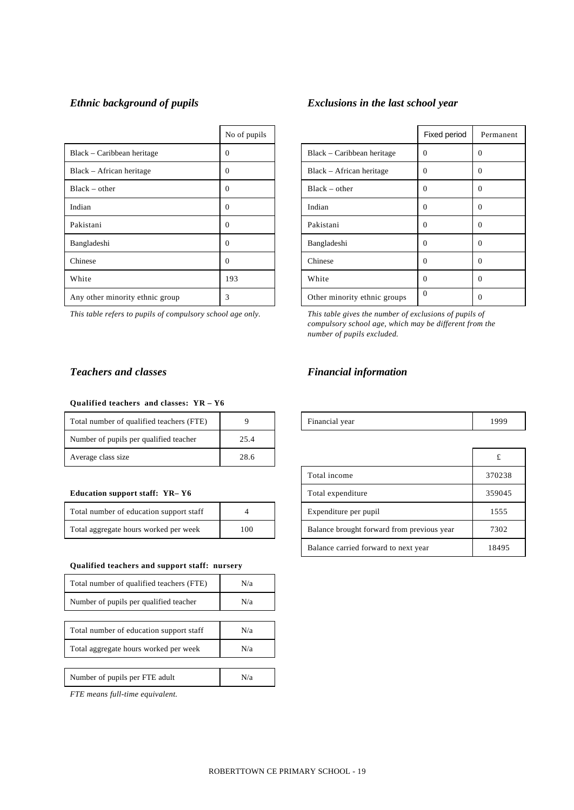|                                 | No of pupils |                              | Fixed period |                |
|---------------------------------|--------------|------------------------------|--------------|----------------|
| Black - Caribbean heritage      | $\Omega$     | Black – Caribbean heritage   | $\Omega$     | $\overline{0}$ |
| Black – African heritage        | 0            | Black – African heritage     | $\Omega$     | $\theta$       |
| $Black - other$                 | $\Omega$     | $Black - other$              | $\Omega$     | $\theta$       |
| Indian                          | $\Omega$     | Indian                       | $\Omega$     | $\overline{0}$ |
| Pakistani                       | $\Omega$     | Pakistani                    | $\Omega$     | $\theta$       |
| Bangladeshi                     | $\Omega$     | Bangladeshi                  | $\Omega$     | $\theta$       |
| Chinese                         | 0            | Chinese                      | $\Omega$     | $\theta$       |
| White                           | 193          | White                        | $\Omega$     | $\theta$       |
| Any other minority ethnic group | 3            | Other minority ethnic groups | $\Omega$     | $\overline{0}$ |

*This table refers to pupils of compulsory school age only. This table gives the number of exclusions of pupils of*

# *Ethnic background of pupils Exclusions in the last school year*

| No of pupils |                              | Fixed period | Permanent |
|--------------|------------------------------|--------------|-----------|
| 0            | Black – Caribbean heritage   | $\Omega$     | $\Omega$  |
| 0            | Black – African heritage     | $\Omega$     | $\Omega$  |
| 0            | $Black - other$              | $\Omega$     | $\Omega$  |
| 0            | Indian                       | $\Omega$     | $\Omega$  |
| 0            | Pakistani                    | 0            | $\Omega$  |
| 0            | Bangladeshi                  | $\theta$     | $\Omega$  |
| 0            | Chinese                      | $\Omega$     | $\Omega$  |
| 193          | White                        | $\theta$     | $\Omega$  |
| 3            | Other minority ethnic groups | $\Omega$     | $\Omega$  |

*compulsory school age, which may be different from the number of pupils excluded.*

#### **Qualified teachers and classes: YR – Y6**

| Total number of qualified teachers (FTE) |      | Financial year | 1999 |
|------------------------------------------|------|----------------|------|
| Number of pupils per qualified teacher   | 25.4 |                |      |
| Average class size                       | 28.6 |                |      |

#### **Education support staff: YR-Y6**

| Total number of education support staff |     |
|-----------------------------------------|-----|
| Total aggregate hours worked per week   | 100 |

#### **Qualified teachers and support staff: nursery**

| Total number of qualified teachers (FTE) | N/a |
|------------------------------------------|-----|
| Number of pupils per qualified teacher   | N/a |
|                                          |     |
| Total number of education support staff  | N/a |
| Total aggregate hours worked per week    | N/a |
|                                          |     |
| Number of pupils per FTE adult           | N/a |

*FTE means full-time equivalent.*

# *Teachers and classes Financial information*

| Financial year | 1999 |
|----------------|------|
|----------------|------|

| Average class size                           | 28.6           |  |                                            |        |
|----------------------------------------------|----------------|--|--------------------------------------------|--------|
|                                              |                |  | Total income                               | 370238 |
| <b>Education support staff: YR–Y6</b>        |                |  | Total expenditure                          | 359045 |
| Total number of education support staff      | $\overline{4}$ |  | Expenditure per pupil                      | 1555   |
| Total aggregate hours worked per week<br>100 |                |  | Balance brought forward from previous year | 7302   |
|                                              |                |  | Balance carried forward to next year       | 18495  |